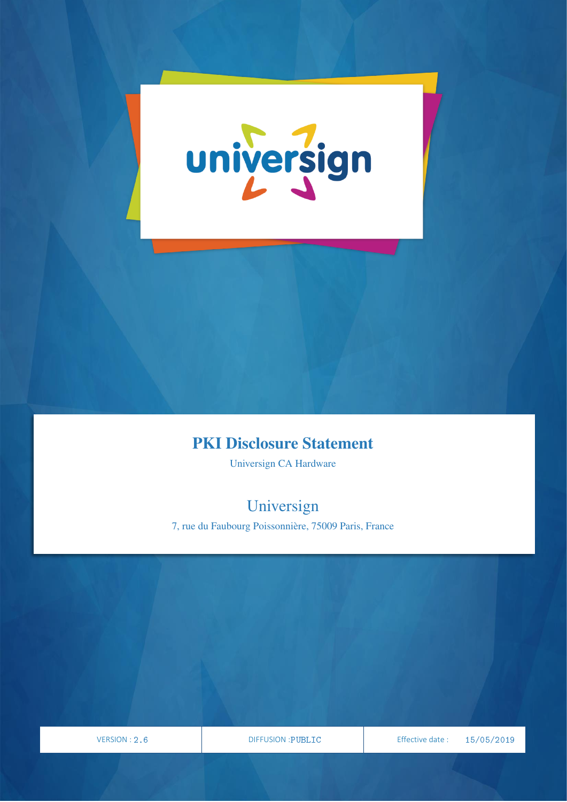

## PKI Disclosure Statement

Universign CA Hardware

# Universign

7, rue du Faubourg Poissonnière, 75009 Paris, France

VERSION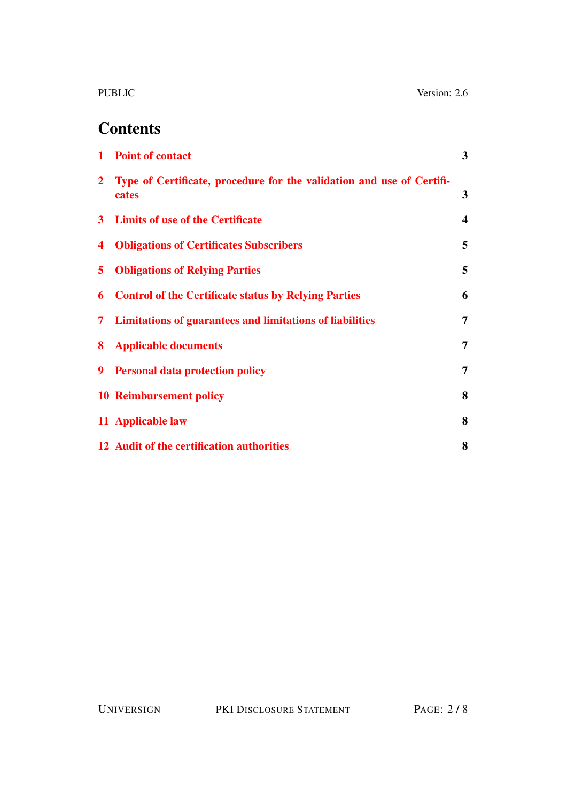# **Contents**

|                | 1 Point of contact                                                             | 3                       |
|----------------|--------------------------------------------------------------------------------|-------------------------|
| $\overline{2}$ | Type of Certificate, procedure for the validation and use of Certifi-<br>cates | $\mathbf{3}$            |
|                | 3 Limits of use of the Certificate                                             | $\overline{\mathbf{4}}$ |
| 4              | <b>Obligations of Certificates Subscribers</b>                                 | 5                       |
| 5              | <b>Obligations of Relying Parties</b>                                          | 5                       |
| 6              | <b>Control of the Certificate status by Relying Parties</b>                    | 6                       |
| 7              | <b>Limitations of guarantees and limitations of liabilities</b>                | 7                       |
| 8              | <b>Applicable documents</b>                                                    | $\overline{7}$          |
| 9              | <b>Personal data protection policy</b>                                         | $\overline{7}$          |
|                | <b>10 Reimbursement policy</b>                                                 | 8                       |
|                | 11 Applicable law                                                              | 8                       |
|                | 12 Audit of the certification authorities                                      | 8                       |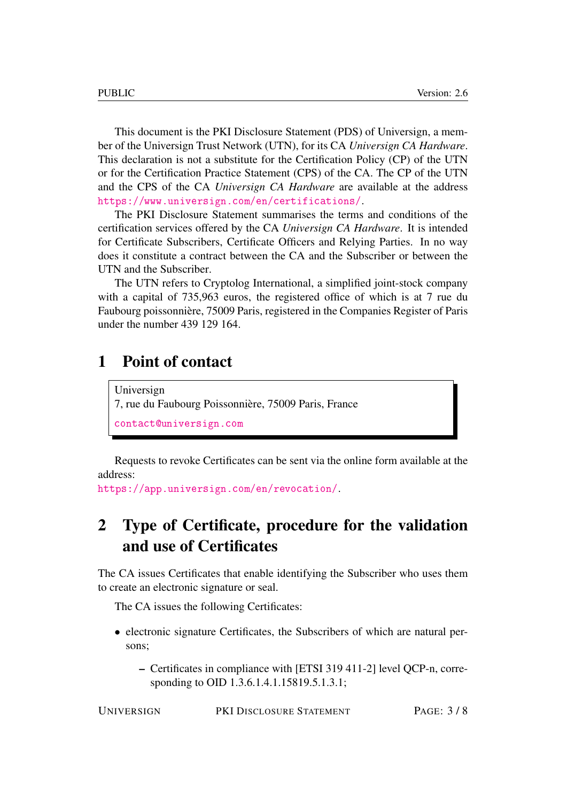This document is the PKI Disclosure Statement (PDS) of Universign, a member of the Universign Trust Network (UTN), for its CA *Universign CA Hardware*. This declaration is not a substitute for the Certification Policy (CP) of the UTN or for the Certification Practice Statement (CPS) of the CA. The CP of the UTN and the CPS of the CA *Universign CA Hardware* are available at the address <https://www.universign.com/en/certifications/>.

The PKI Disclosure Statement summarises the terms and conditions of the certification services offered by the CA *Universign CA Hardware*. It is intended for Certificate Subscribers, Certificate Officers and Relying Parties. In no way does it constitute a contract between the CA and the Subscriber or between the UTN and the Subscriber.

The UTN refers to Cryptolog International, a simplified joint-stock company with a capital of 735,963 euros, the registered office of which is at 7 rue du Faubourg poissonnière, 75009 Paris, registered in the Companies Register of Paris under the number 439 129 164.

#### <span id="page-2-0"></span>1 Point of contact

Universign 7, rue du Faubourg Poissonnière, 75009 Paris, France <contact@universign.com>

Requests to revoke Certificates can be sent via the online form available at the address:

<https://app.universign.com/en/revocation/>.

## <span id="page-2-1"></span>2 Type of Certificate, procedure for the validation and use of Certificates

The CA issues Certificates that enable identifying the Subscriber who uses them to create an electronic signature or seal.

The CA issues the following Certificates:

- electronic signature Certificates, the Subscribers of which are natural persons;
	- Certificates in compliance with [ETSI 319 411-2] level QCP-n, corresponding to OID 1.3.6.1.4.1.15819.5.1.3.1;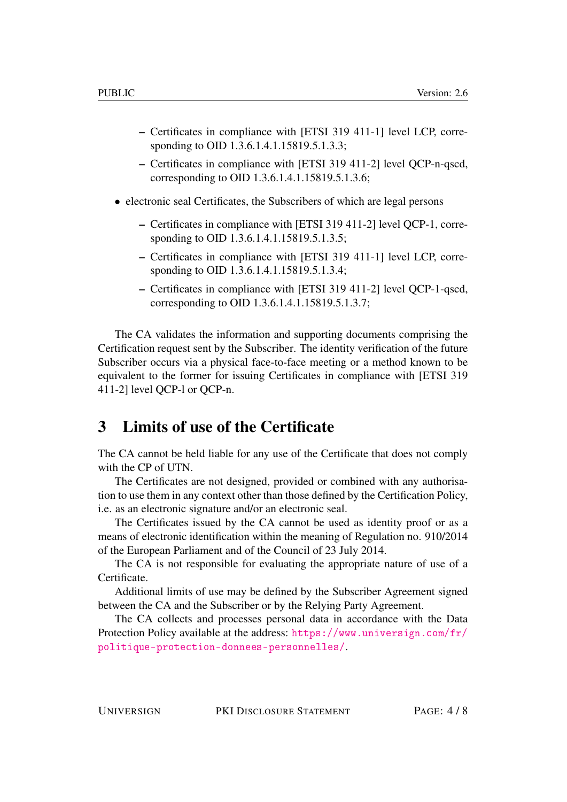- Certificates in compliance with [ETSI 319 411-1] level LCP, corresponding to OID 1.3.6.1.4.1.15819.5.1.3.3;
- Certificates in compliance with [ETSI 319 411-2] level QCP-n-qscd, corresponding to OID 1.3.6.1.4.1.15819.5.1.3.6;
- electronic seal Certificates, the Subscribers of which are legal persons
	- Certificates in compliance with [ETSI 319 411-2] level QCP-1, corresponding to OID 1.3.6.1.4.1.15819.5.1.3.5;
	- Certificates in compliance with [ETSI 319 411-1] level LCP, corresponding to OID 1.3.6.1.4.1.15819.5.1.3.4;
	- Certificates in compliance with [ETSI 319 411-2] level QCP-1-qscd, corresponding to OID 1.3.6.1.4.1.15819.5.1.3.7;

The CA validates the information and supporting documents comprising the Certification request sent by the Subscriber. The identity verification of the future Subscriber occurs via a physical face-to-face meeting or a method known to be equivalent to the former for issuing Certificates in compliance with [ETSI 319 411-2] level QCP-l or QCP-n.

#### <span id="page-3-0"></span>3 Limits of use of the Certificate

The CA cannot be held liable for any use of the Certificate that does not comply with the CP of UTN.

The Certificates are not designed, provided or combined with any authorisation to use them in any context other than those defined by the Certification Policy, i.e. as an electronic signature and/or an electronic seal.

The Certificates issued by the CA cannot be used as identity proof or as a means of electronic identification within the meaning of Regulation no. 910/2014 of the European Parliament and of the Council of 23 July 2014.

The CA is not responsible for evaluating the appropriate nature of use of a Certificate.

Additional limits of use may be defined by the Subscriber Agreement signed between the CA and the Subscriber or by the Relying Party Agreement.

The CA collects and processes personal data in accordance with the Data Protection Policy available at the address: [https://www.universign.com/fr/](https://www.universign.com/fr/politique-protection-donnees-personnelles/) [politique-protection-donnees-personnelles/](https://www.universign.com/fr/politique-protection-donnees-personnelles/).

UNIVERSIGN PKI DISCLOSURE STATEMENT PAGE: 4 / 8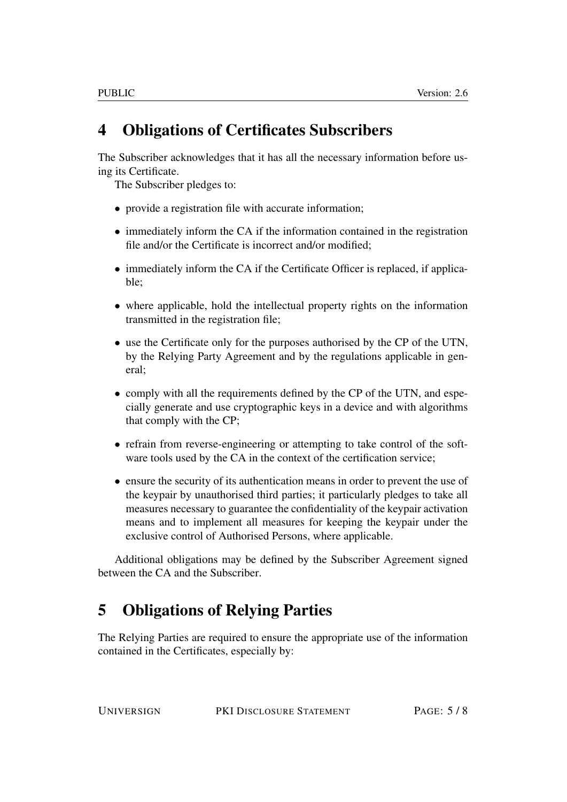# <span id="page-4-0"></span>4 Obligations of Certificates Subscribers

The Subscriber acknowledges that it has all the necessary information before using its Certificate.

The Subscriber pledges to:

- provide a registration file with accurate information;
- immediately inform the CA if the information contained in the registration file and/or the Certificate is incorrect and/or modified;
- immediately inform the CA if the Certificate Officer is replaced, if applicable;
- where applicable, hold the intellectual property rights on the information transmitted in the registration file;
- use the Certificate only for the purposes authorised by the CP of the UTN, by the Relying Party Agreement and by the regulations applicable in general;
- comply with all the requirements defined by the CP of the UTN, and especially generate and use cryptographic keys in a device and with algorithms that comply with the CP;
- refrain from reverse-engineering or attempting to take control of the software tools used by the CA in the context of the certification service;
- ensure the security of its authentication means in order to prevent the use of the keypair by unauthorised third parties; it particularly pledges to take all measures necessary to guarantee the confidentiality of the keypair activation means and to implement all measures for keeping the keypair under the exclusive control of Authorised Persons, where applicable.

Additional obligations may be defined by the Subscriber Agreement signed between the CA and the Subscriber.

# <span id="page-4-1"></span>5 Obligations of Relying Parties

The Relying Parties are required to ensure the appropriate use of the information contained in the Certificates, especially by: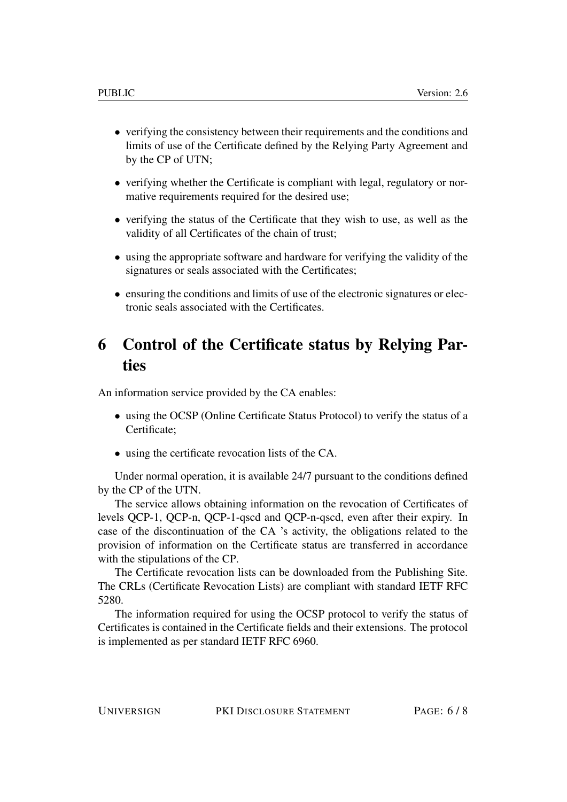- verifying the consistency between their requirements and the conditions and limits of use of the Certificate defined by the Relying Party Agreement and by the CP of UTN;
- verifying whether the Certificate is compliant with legal, regulatory or normative requirements required for the desired use;
- verifying the status of the Certificate that they wish to use, as well as the validity of all Certificates of the chain of trust;
- using the appropriate software and hardware for verifying the validity of the signatures or seals associated with the Certificates;
- ensuring the conditions and limits of use of the electronic signatures or electronic seals associated with the Certificates.

### <span id="page-5-0"></span>6 Control of the Certificate status by Relying Parties

An information service provided by the CA enables:

- using the OCSP (Online Certificate Status Protocol) to verify the status of a Certificate;
- using the certificate revocation lists of the CA.

Under normal operation, it is available 24/7 pursuant to the conditions defined by the CP of the UTN.

The service allows obtaining information on the revocation of Certificates of levels QCP-1, QCP-n, QCP-1-qscd and QCP-n-qscd, even after their expiry. In case of the discontinuation of the CA 's activity, the obligations related to the provision of information on the Certificate status are transferred in accordance with the stipulations of the CP.

The Certificate revocation lists can be downloaded from the Publishing Site. The CRLs (Certificate Revocation Lists) are compliant with standard IETF RFC 5280.

The information required for using the OCSP protocol to verify the status of Certificates is contained in the Certificate fields and their extensions. The protocol is implemented as per standard IETF RFC 6960.

UNIVERSIGN PKI DISCLOSURE STATEMENT PAGE: 6 / 8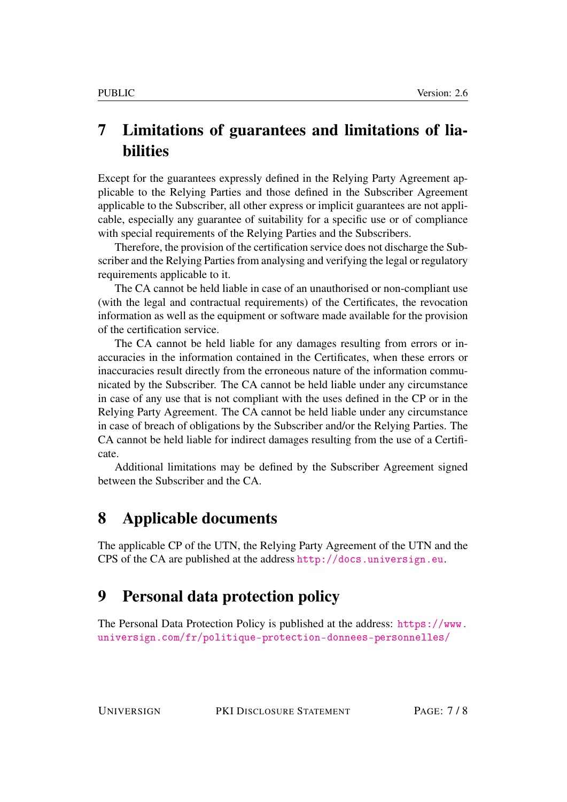# <span id="page-6-0"></span>7 Limitations of guarantees and limitations of liabilities

Except for the guarantees expressly defined in the Relying Party Agreement applicable to the Relying Parties and those defined in the Subscriber Agreement applicable to the Subscriber, all other express or implicit guarantees are not applicable, especially any guarantee of suitability for a specific use or of compliance with special requirements of the Relying Parties and the Subscribers.

Therefore, the provision of the certification service does not discharge the Subscriber and the Relying Parties from analysing and verifying the legal or regulatory requirements applicable to it.

The CA cannot be held liable in case of an unauthorised or non-compliant use (with the legal and contractual requirements) of the Certificates, the revocation information as well as the equipment or software made available for the provision of the certification service.

The CA cannot be held liable for any damages resulting from errors or inaccuracies in the information contained in the Certificates, when these errors or inaccuracies result directly from the erroneous nature of the information communicated by the Subscriber. The CA cannot be held liable under any circumstance in case of any use that is not compliant with the uses defined in the CP or in the Relying Party Agreement. The CA cannot be held liable under any circumstance in case of breach of obligations by the Subscriber and/or the Relying Parties. The CA cannot be held liable for indirect damages resulting from the use of a Certificate.

Additional limitations may be defined by the Subscriber Agreement signed between the Subscriber and the CA.

#### <span id="page-6-1"></span>8 Applicable documents

The applicable CP of the UTN, the Relying Party Agreement of the UTN and the CPS of the CA are published at the address <http://docs.universign.eu>.

#### <span id="page-6-2"></span>9 Personal data protection policy

The Personal Data Protection Policy is published at the address: [https://www.](https://www.universign.com/fr/politique-protection-donnees-personnelles/) [universign.com/fr/politique-protection-donnees-personnelles/](https://www.universign.com/fr/politique-protection-donnees-personnelles/)

UNIVERSIGN PKI DISCLOSURE STATEMENT PAGE: 7 / 8